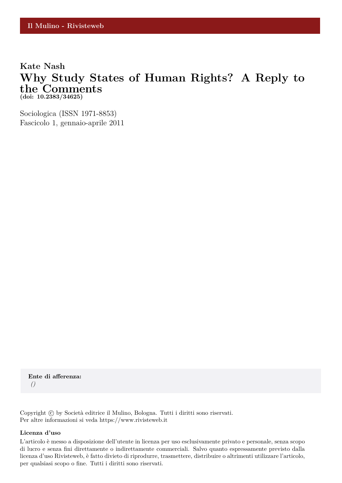## **Kate Nash Why Study States of Human Rights? A Reply to the Comments (doi: 10.2383/34625)**

Sociologica (ISSN 1971-8853) Fascicolo 1, gennaio-aprile 2011

**Ente di afferenza:** *()*

Copyright © by Società editrice il Mulino, Bologna. Tutti i diritti sono riservati. Per altre informazioni si veda https://www.rivisteweb.it

#### **Licenza d'uso**

L'articolo è messo a disposizione dell'utente in licenza per uso esclusivamente privato e personale, senza scopo di lucro e senza fini direttamente o indirettamente commerciali. Salvo quanto espressamente previsto dalla licenza d'uso Rivisteweb, è fatto divieto di riprodurre, trasmettere, distribuire o altrimenti utilizzare l'articolo, per qualsiasi scopo o fine. Tutti i diritti sono riservati.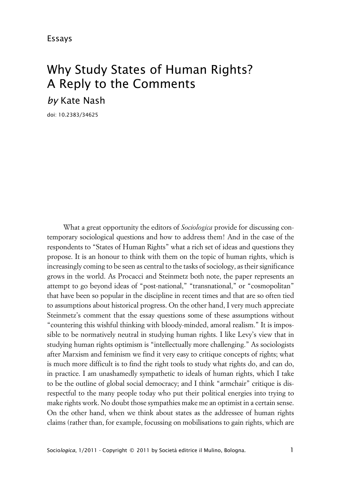# Why Study States of Human Rights? A Reply to the Comments *by* Kate Nash

doi: 10.2383/34625

What a great opportunity the editors of *Sociologica* provide for discussing contemporary sociological questions and how to address them! And in the case of the respondents to "States of Human Rights" what a rich set of ideas and questions they propose. It is an honour to think with them on the topic of human rights, which is increasingly coming to be seen as central to the tasks of sociology, as their significance grows in the world. As Procacci and Steinmetz both note, the paper represents an attempt to go beyond ideas of "post-national," "transnational," or "cosmopolitan" that have been so popular in the discipline in recent times and that are so often tied to assumptions about historical progress. On the other hand, I very much appreciate Steinmetz's comment that the essay questions some of these assumptions without "countering this wishful thinking with bloody-minded, amoral realism." It is impossible to be normatively neutral in studying human rights. I like Levy's view that in studying human rights optimism is "intellectually more challenging." As sociologists after Marxism and feminism we find it very easy to critique concepts of rights; what is much more difficult is to find the right tools to study what rights do, and can do, in practice. I am unashamedly sympathetic to ideals of human rights, which I take to be the outline of global social democracy; and I think "armchair" critique is disrespectful to the many people today who put their political energies into trying to make rights work. No doubt those sympathies make me an optimist in a certain sense. On the other hand, when we think about states as the addressee of human rights claims (rather than, for example, focussing on mobilisations to gain rights, which are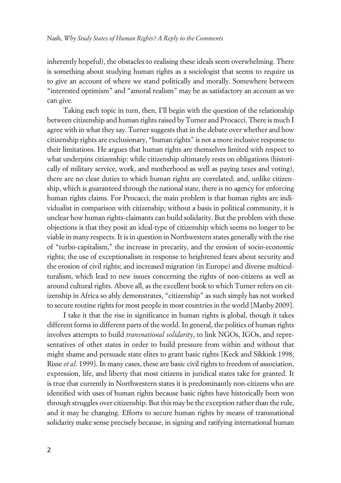inherently hopeful), the obstacles to realising these ideals seem overwhelming. There is something about studying human rights as a sociologist that seems to require us to give an account of where we stand politically and morally. Somewhere between "interested optimism" and "amoral realism" may be as satisfactory an account as we can give.

Taking each topic in turn, then, I'll begin with the question of the relationship between citizenship and human rights raised by Turner and Procacci. There is much I agree with in what they say. Turner suggests that in the debate over whether and how citizenship rights are exclusionary, "human rights" is not a more inclusive response to their limitations. He argues that human rights are themselves limited with respect to what underpins citizenship: while citizenship ultimately rests on obligations (historically of military service, work, and motherhood as well as paying taxes and voting), there are no clear duties to which human rights are correlated; and, unlike citizenship, which is guaranteed through the national state, there is no agency for enforcing human rights claims. For Procacci, the main problem is that human rights are individualist in comparison with citizenship; without a basis in political community, it is unclear how human rights-claimants can build solidarity. But the problem with these objections is that they posit an ideal-type of citizenship which seems no longer to be viable in many respects. It is in question in Northwestern states generally with the rise of "turbo-capitalism," the increase in precarity, and the erosion of socio-economic rights; the use of exceptionalism in response to heightened fears about security and the erosion of civil rights; and increased migration (in Europe) and diverse multiculturalism, which lead to new issues concerning the rights of non-citizens as well as around cultural rights. Above all, as the excellent book to which Turner refers on citizenship in Africa so ably demonstrates, "citizenship" as such simply has not worked to secure routine rights for most people in most countries in the world [Manby 2009].

I take it that the rise in significance in human rights is global, though it takes different forms in different parts of the world. In general, the politics of human rights involves attempts to build *transnational solidarity*, to link NGOs, IGOs, and representatives of other states in order to build pressure from within and without that might shame and persuade state elites to grant basic rights [Keck and Sikkink 1998; Risse *et al*. 1999]. In many cases, these are basic civil rights to freedom of association, expression, life, and liberty that most citizens in juridical states take for granted. It is true that currently in Northwestern states it is predominantly non-citizens who are identified with uses of human rights because basic rights have historically been won through struggles over citizenship. But this may be the exception rather than the rule, and it may be changing. Efforts to secure human rights by means of transnational solidarity make sense precisely because, in signing and ratifying international human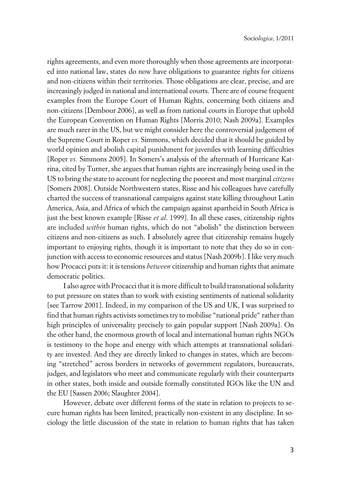rights agreements, and even more thoroughly when those agreements are incorporated into national law, states do now have obligations to guarantee rights for citizens and non-citizens within their territories. Those obligations are clear, precise, and are increasingly judged in national and international courts. There are of course frequent examples from the Europe Court of Human Rights, concerning both citizens and non-citizens [Dembour 2006], as well as from national courts in Europe that uphold the European Convention on Human Rights [Morris 2010; Nash 2009a]. Examples are much rarer in the US, but we might consider here the controversial judgement of the Supreme Court in Roper *vs.* Simmons, which decided that it should be guided by world opinion and abolish capital punishment for juveniles with learning difficulties [Roper *vs.* Simmons 2005]. In Somers's analysis of the aftermath of Hurricane Katrina, cited by Turner, she argues that human rights are increasingly being used in the US to bring the state to account for neglecting the poorest and most marginal *citizens* [Somers 2008]. Outside Northwestern states, Risse and his colleagues have carefully charted the success of transnational campaigns against state killing throughout Latin America, Asia, and Africa of which the campaign against apartheid in South Africa is just the best known example [Risse *et al*. 1999]. In all these cases, citizenship rights are included *within* human rights, which do not "abolish" the distinction between citizens and non-citizens as such. I absolutely agree that citizenship remains hugely important to enjoying rights, though it is important to note that they do so in conjunction with access to economic resources and status [Nash 2009b]. I like very much how Procacci puts it: it is tensions *between* citizenship and human rights that animate democratic politics.

I also agree with Procacci that it is more difficult to build transnational solidarity to put pressure on states than to work with existing sentiments of national solidarity [see Tarrow 2001]. Indeed, in my comparison of the US and UK, I was surprised to find that human rights activists sometimes try to mobilise "national pride" rather than high principles of universality precisely to gain popular support [Nash 2009a]. On the other hand, the enormous growth of local and international human rights NGOs is testimony to the hope and energy with which attempts at transnational solidarity are invested. And they are directly linked to changes in states, which are becoming "stretched" across borders in networks of government regulators, bureaucrats, judges, and legislators who meet and communicate regularly with their counterparts in other states, both inside and outside formally constituted IGOs like the UN and the EU [Sassen 2006; Slaughter 2004].

However, debate over different forms of the state in relation to projects to secure human rights has been limited, practically non-existent in any discipline. In sociology the little discussion of the state in relation to human rights that has taken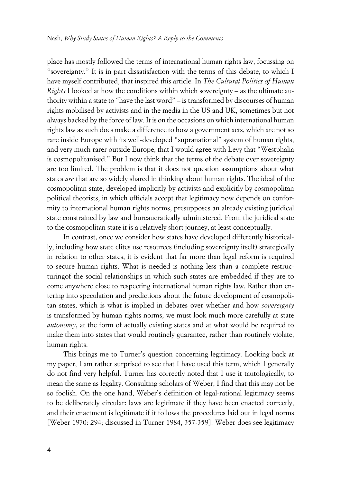place has mostly followed the terms of international human rights law, focussing on "sovereignty." It is in part dissatisfaction with the terms of this debate, to which I have myself contributed, that inspired this article. In *The Cultural Politics of Human Rights* I looked at how the conditions within which sovereignty – as the ultimate authority within a state to "have the last word" – is transformed by discourses of human rights mobilised by activists and in the media in the US and UK, sometimes but not always backed by the force of law. It is on the occasions on which international human rights law as such does make a difference to how a government acts, which are not so rare inside Europe with its well-developed "supranational" system of human rights, and very much rarer outside Europe, that I would agree with Levy that "Westphalia is cosmopolitanised." But I now think that the terms of the debate over sovereignty are too limited. The problem is that it does not question assumptions about what states *are* that are so widely shared in thinking about human rights. The ideal of the cosmopolitan state, developed implicitly by activists and explicitly by cosmopolitan political theorists, in which officials accept that legitimacy now depends on conformity to international human rights norms, presupposes an already existing juridical state constrained by law and bureaucratically administered. From the juridical state to the cosmopolitan state it is a relatively short journey, at least conceptually.

In contrast, once we consider how states have developed differently historically, including how state elites use resources (including sovereignty itself) strategically in relation to other states, it is evident that far more than legal reform is required to secure human rights. What is needed is nothing less than a complete restructuringof the social relationships in which such states are embedded if they are to come anywhere close to respecting international human rights law. Rather than entering into speculation and predictions about the future development of cosmopolitan states, which is what is implied in debates over whether and how *sovereignty* is transformed by human rights norms, we must look much more carefully at state *autonomy*, at the form of actually existing states and at what would be required to make them into states that would routinely guarantee, rather than routinely violate, human rights.

This brings me to Turner's question concerning legitimacy. Looking back at my paper, I am rather surprised to see that I have used this term, which I generally do not find very helpful. Turner has correctly noted that I use it tautologically, to mean the same as legality. Consulting scholars of Weber, I find that this may not be so foolish. On the one hand, Weber's definition of legal-rational legitimacy seems to be deliberately circular: laws are legitimate if they have been enacted correctly, and their enactment is legitimate if it follows the procedures laid out in legal norms [Weber 1970: 294; discussed in Turner 1984, 357-359]. Weber does see legitimacy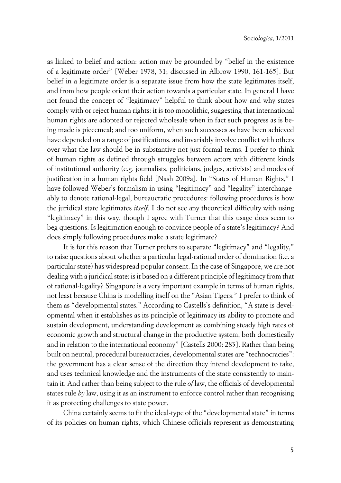as linked to belief and action: action may be grounded by "belief in the existence of a legitimate order" [Weber 1978, 31; discussed in Albrow 1990, 161-165]. But belief in a legitimate order is a separate issue from how the state legitimates itself, and from how people orient their action towards a particular state. In general I have not found the concept of "legitimacy" helpful to think about how and why states comply with or reject human rights: it is too monolithic, suggesting that international human rights are adopted or rejected wholesale when in fact such progress as is being made is piecemeal; and too uniform, when such successes as have been achieved have depended on a range of justifications, and invariably involve conflict with others over what the law should be in substantive not just formal terms. I prefer to think of human rights as defined through struggles between actors with different kinds of institutional authority (e.g. journalists, politicians, judges, activists) and modes of justification in a human rights field [Nash 2009a]. In "States of Human Rights," I have followed Weber's formalism in using "legitimacy" and "legality" interchangeably to denote rational-legal, bureaucratic procedures: following procedures is how the juridical state legitimates *itself*. I do not see any theoretical difficulty with using "legitimacy" in this way, though I agree with Turner that this usage does seem to beg questions. Is legitimation enough to convince people of a state's legitimacy? And does simply following procedures make a state legitimate?

It is for this reason that Turner prefers to separate "legitimacy" and "legality," to raise questions about whether a particular legal-rational order of domination (i.e. a particular state) has widespread popular consent. In the case of Singapore, we are not dealing with a juridical state: is it based on a different principle of legitimacy from that of rational-legality? Singapore is a very important example in terms of human rights, not least because China is modelling itself on the "Asian Tigers." I prefer to think of them as "developmental states." According to Castells's definition, "A state is developmental when it establishes as its principle of legitimacy its ability to promote and sustain development, understanding development as combining steady high rates of economic growth and structural change in the productive system, both domestically and in relation to the international economy" [Castells 2000: 283]. Rather than being built on neutral, procedural bureaucracies, developmental states are "technocracies": the government has a clear sense of the direction they intend development to take, and uses technical knowledge and the instruments of the state consistently to maintain it. And rather than being subject to the rule *of* law, the officials of developmental states rule *by* law, using it as an instrument to enforce control rather than recognising it as protecting challenges to state power.

China certainly seems to fit the ideal-type of the "developmental state" in terms of its policies on human rights, which Chinese officials represent as demonstrating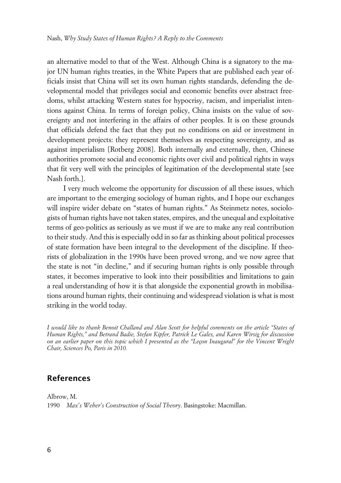an alternative model to that of the West. Although China is a signatory to the major UN human rights treaties, in the White Papers that are published each year officials insist that China will set its own human rights standards, defending the developmental model that privileges social and economic benefits over abstract freedoms, whilst attacking Western states for hypocrisy, racism, and imperialist intentions against China. In terms of foreign policy, China insists on the value of sovereignty and not interfering in the affairs of other peoples. It is on these grounds that officials defend the fact that they put no conditions on aid or investment in development projects: they represent themselves as respecting sovereignty, and as against imperialism [Rotberg 2008]. Both internally and externally, then, Chinese authorities promote social and economic rights over civil and political rights in ways that fit very well with the principles of legitimation of the developmental state [see Nash forth.].

I very much welcome the opportunity for discussion of all these issues, which are important to the emerging sociology of human rights, and I hope our exchanges will inspire wider debate on "states of human rights." As Steinmetz notes, sociologists of human rights have not taken states, empires, and the unequal and exploitative terms of geo-politics as seriously as we must if we are to make any real contribution to their study. And this is especially odd in so far as thinking about political processes of state formation have been integral to the development of the discipline. If theorists of globalization in the 1990s have been proved wrong, and we now agree that the state is not "in decline," and if securing human rights is only possible through states, it becomes imperative to look into their possibilities and limitations to gain a real understanding of how it is that alongside the exponential growth in mobilisations around human rights, their continuing and widespread violation is what is most striking in the world today.

*I would like to thank Benoit Challand and Alan Scott for helpful comments on the article "States of Human Rights," and Betrand Badie, Stefan Kipfer, Patrick Le Gales, and Karen Wirsig for discussion on an earlier paper on this topic which I presented as the "Leçon Inaugural" for the Vincent Wright Chair, Sciences Po, Paris in 2010.*

### **References**

Albrow, M.

1990 *Max's Weber's Construction of Social Theory*. Basingstoke: Macmillan.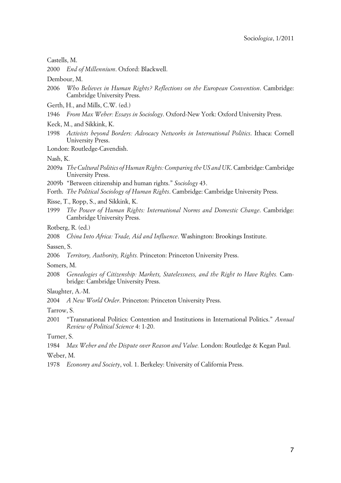#### Castells, M.

2000 *End of Millennium*. Oxford: Blackwell.

Dembour, M.

- 2006 *Who Believes in Human Rights? Reflections on the European Convention*. Cambridge: Cambridge University Press.
- Gerth, H., and Mills, C.W. (ed.)
- 1946 *From Max Weber: Essays in Sociology*. Oxford-New York: Oxford University Press.
- Keck, M., and Sikkink, K.
- 1998 *Activists beyond Borders: Advocacy Networks in International Politics*. Ithaca: Cornell University Press.
- London: Routledge-Cavendish.

Nash, K.

- 2009a *The Cultural Politics of Human Rights: Comparing the US and UK*. Cambridge: Cambridge University Press.
- 2009b "Between citizenship and human rights." *Sociology* 43.
- Forth. *The Political Sociology of Human Rights*. Cambridge: Cambridge University Press.
- Risse, T., Ropp, S., and Sikkink, K.
- 1999 *The Power of Human Rights: International Norms and Domestic Change*. Cambridge: Cambridge University Press.
- Rotberg, R. (ed.)

2008 *China Into Africa: Trade, Aid and Influence*. Washington: Brookings Institute.

Sassen, S.

2006 *Territory, Authority, Rights.* Princeton: Princeton University Press.

Somers, M.

2008 *Genealogies of Citizenship: Markets, Statelessness, and the Right to Have Rights.* Cambridge: Cambridge University Press.

Slaughter, A.-M.

2004 *A New World Order*. Princeton: Princeton University Press.

Tarrow, S.

2001 "Transnational Politics: Contention and Institutions in International Politics." *Annual Review of Political Science* 4: 1-20.

Turner, S.

1984 *Max Weber and the Dispute over Reason and Value.* London: Routledge & Kegan Paul.

Weber, M.

1978 *Economy and Society*, vol. 1. Berkeley: University of California Press.